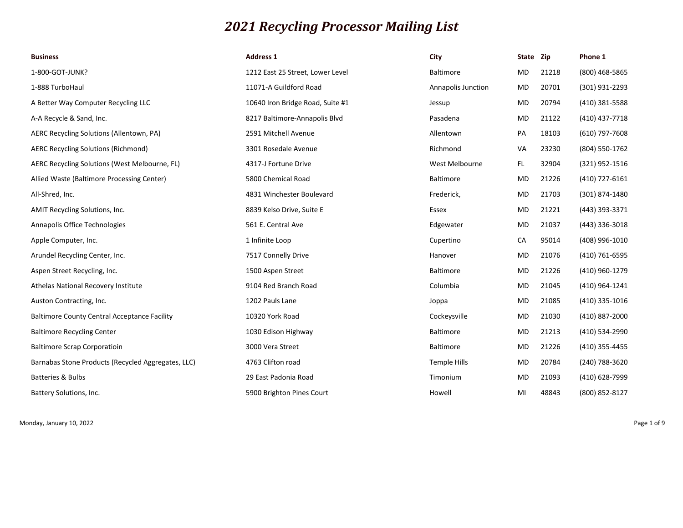## *2021 Recycling Processor Mailing List*

| <b>Business</b>                                     | <b>Address 1</b>                 | City               | State Zip |       | Phone 1        |
|-----------------------------------------------------|----------------------------------|--------------------|-----------|-------|----------------|
| 1-800-GOT-JUNK?                                     | 1212 East 25 Street, Lower Level | <b>Baltimore</b>   | MD        | 21218 | (800) 468-5865 |
| 1-888 TurboHaul                                     | 11071-A Guildford Road           | Annapolis Junction | MD        | 20701 | (301) 931-2293 |
| A Better Way Computer Recycling LLC                 | 10640 Iron Bridge Road, Suite #1 | Jessup             | MD        | 20794 | (410) 381-5588 |
| A-A Recycle & Sand, Inc.                            | 8217 Baltimore-Annapolis Blvd    | Pasadena           | MD        | 21122 | (410) 437-7718 |
| AERC Recycling Solutions (Allentown, PA)            | 2591 Mitchell Avenue             | Allentown          | PA        | 18103 | (610) 797-7608 |
| <b>AERC Recycling Solutions (Richmond)</b>          | 3301 Rosedale Avenue             | Richmond           | VA        | 23230 | (804) 550-1762 |
| AERC Recycling Solutions (West Melbourne, FL)       | 4317-J Fortune Drive             | West Melbourne     | FL.       | 32904 | (321) 952-1516 |
| Allied Waste (Baltimore Processing Center)          | 5800 Chemical Road               | <b>Baltimore</b>   | MD        | 21226 | (410) 727-6161 |
| All-Shred, Inc.                                     | 4831 Winchester Boulevard        | Frederick,         | MD        | 21703 | (301) 874-1480 |
| <b>AMIT Recycling Solutions, Inc.</b>               | 8839 Kelso Drive, Suite E        | Essex              | MD        | 21221 | (443) 393-3371 |
| Annapolis Office Technologies                       | 561 E. Central Ave               | Edgewater          | MD        | 21037 | (443) 336-3018 |
| Apple Computer, Inc.                                | 1 Infinite Loop                  | Cupertino          | CA        | 95014 | (408) 996-1010 |
| Arundel Recycling Center, Inc.                      | 7517 Connelly Drive              | Hanover            | MD        | 21076 | (410) 761-6595 |
| Aspen Street Recycling, Inc.                        | 1500 Aspen Street                | <b>Baltimore</b>   | MD        | 21226 | (410) 960-1279 |
| Athelas National Recovery Institute                 | 9104 Red Branch Road             | Columbia           | MD        | 21045 | (410) 964-1241 |
| Auston Contracting, Inc.                            | 1202 Pauls Lane                  | Joppa              | MD        | 21085 | (410) 335-1016 |
| <b>Baltimore County Central Acceptance Facility</b> | 10320 York Road                  | Cockeysville       | MD        | 21030 | (410) 887-2000 |
| <b>Baltimore Recycling Center</b>                   | 1030 Edison Highway              | <b>Baltimore</b>   | MD        | 21213 | (410) 534-2990 |
| <b>Baltimore Scrap Corporatioin</b>                 | 3000 Vera Street                 | <b>Baltimore</b>   | MD        | 21226 | (410) 355-4455 |
| Barnabas Stone Products (Recycled Aggregates, LLC)  | 4763 Clifton road                | Temple Hills       | MD        | 20784 | (240) 788-3620 |
| Batteries & Bulbs                                   | 29 East Padonia Road             | Timonium           | MD        | 21093 | (410) 628-7999 |
| Battery Solutions, Inc.                             | 5900 Brighton Pines Court        | Howell             | MI        | 48843 | (800) 852-8127 |

Monday, January 10, 2022 Page 1 of 9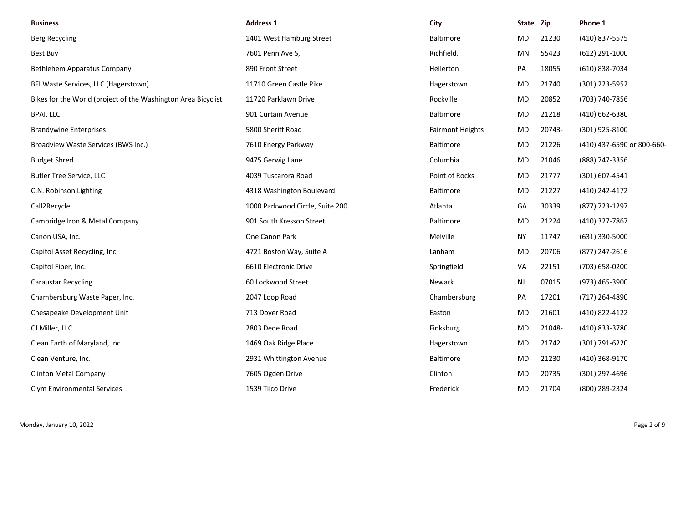| <b>Business</b>                                               | <b>Address 1</b>                | City                    | State Zip |        | Phone 1                    |
|---------------------------------------------------------------|---------------------------------|-------------------------|-----------|--------|----------------------------|
| <b>Berg Recycling</b>                                         | 1401 West Hamburg Street        | <b>Baltimore</b>        | MD.       | 21230  | (410) 837-5575             |
| <b>Best Buy</b>                                               | 7601 Penn Ave S,                | Richfield,              | ΜN        | 55423  | $(612)$ 291-1000           |
| Bethlehem Apparatus Company                                   | 890 Front Street                | Hellerton               | PA        | 18055  | (610) 838-7034             |
| BFI Waste Services, LLC (Hagerstown)                          | 11710 Green Castle Pike         | Hagerstown              | MD        | 21740  | (301) 223-5952             |
| Bikes for the World (project of the Washington Area Bicyclist | 11720 Parklawn Drive            | Rockville               | MD        | 20852  | (703) 740-7856             |
| <b>BPAI, LLC</b>                                              | 901 Curtain Avenue              | <b>Baltimore</b>        | MD        | 21218  | (410) 662-6380             |
| <b>Brandywine Enterprises</b>                                 | 5800 Sheriff Road               | <b>Fairmont Heights</b> | MD        | 20743- | (301) 925-8100             |
| Broadview Waste Services (BWS Inc.)                           | 7610 Energy Parkway             | <b>Baltimore</b>        | MD        | 21226  | (410) 437-6590 or 800-660- |
| <b>Budget Shred</b>                                           | 9475 Gerwig Lane                | Columbia                | MD        | 21046  | (888) 747-3356             |
| <b>Butler Tree Service, LLC</b>                               | 4039 Tuscarora Road             | Point of Rocks          | MD        | 21777  | $(301) 607 - 4541$         |
| C.N. Robinson Lighting                                        | 4318 Washington Boulevard       | Baltimore               | MD        | 21227  | (410) 242-4172             |
| Call2Recycle                                                  | 1000 Parkwood Circle, Suite 200 | Atlanta                 | GA        | 30339  | (877) 723-1297             |
| Cambridge Iron & Metal Company                                | 901 South Kresson Street        | <b>Baltimore</b>        | MD        | 21224  | (410) 327-7867             |
| Canon USA, Inc.                                               | One Canon Park                  | Melville                | <b>NY</b> | 11747  | $(631)$ 330-5000           |
| Capitol Asset Recycling, Inc.                                 | 4721 Boston Way, Suite A        | Lanham                  | MD        | 20706  | (877) 247-2616             |
| Capitol Fiber, Inc.                                           | 6610 Electronic Drive           | Springfield             | VA        | 22151  | (703) 658-0200             |
| <b>Caraustar Recycling</b>                                    | 60 Lockwood Street              | Newark                  | NJ        | 07015  | (973) 465-3900             |
| Chambersburg Waste Paper, Inc.                                | 2047 Loop Road                  | Chambersburg            | PA        | 17201  | (717) 264-4890             |
| Chesapeake Development Unit                                   | 713 Dover Road                  | Easton                  | MD        | 21601  | (410) 822-4122             |
| CJ Miller, LLC                                                | 2803 Dede Road                  | Finksburg               | MD        | 21048- | (410) 833-3780             |
| Clean Earth of Maryland, Inc.                                 | 1469 Oak Ridge Place            | Hagerstown              | MD        | 21742  | (301) 791-6220             |
| Clean Venture, Inc.                                           | 2931 Whittington Avenue         | <b>Baltimore</b>        | MD        | 21230  | (410) 368-9170             |
| Clinton Metal Company                                         | 7605 Ogden Drive                | Clinton                 | MD        | 20735  | (301) 297-4696             |
| Clym Environmental Services                                   | 1539 Tilco Drive                | Frederick               | MD.       | 21704  | (800) 289-2324             |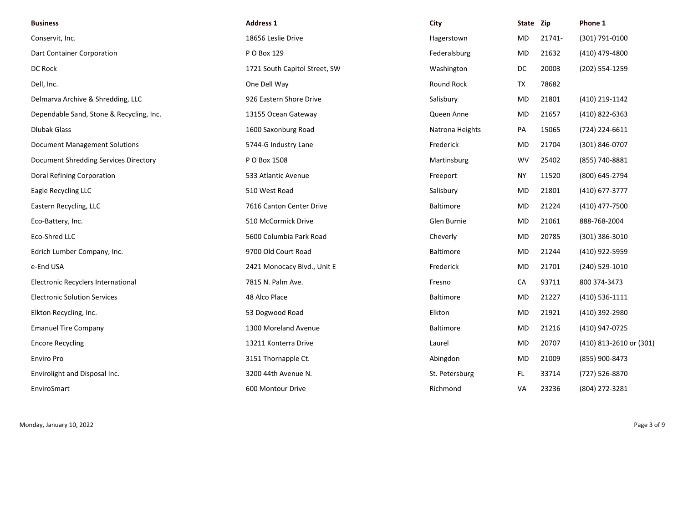| <b>Business</b>                          | <b>Address 1</b>              | City             | State Zip |        | Phone 1                 |
|------------------------------------------|-------------------------------|------------------|-----------|--------|-------------------------|
| Conservit, Inc.                          | 18656 Leslie Drive            | Hagerstown       | MD        | 21741- | (301) 791-0100          |
| Dart Container Corporation               | P O Box 129                   | Federalsburg     | MD        | 21632  | (410) 479-4800          |
| DC Rock                                  | 1721 South Capitol Street, SW | Washington       | DC        | 20003  | (202) 554-1259          |
| Dell, Inc.                               | One Dell Way                  | Round Rock       | TX        | 78682  |                         |
| Delmarva Archive & Shredding, LLC        | 926 Eastern Shore Drive       | Salisbury        | MD        | 21801  | (410) 219-1142          |
| Dependable Sand, Stone & Recycling, Inc. | 13155 Ocean Gateway           | Queen Anne       | MD        | 21657  | (410) 822-6363          |
| <b>Dlubak Glass</b>                      | 1600 Saxonburg Road           | Natrona Heights  | PA        | 15065  | (724) 224-6611          |
| <b>Document Management Solutions</b>     | 5744-G Industry Lane          | Frederick        | MD        | 21704  | (301) 846-0707          |
| Document Shredding Services Directory    | P O Box 1508                  | Martinsburg      | <b>WV</b> | 25402  | (855) 740-8881          |
| Doral Refining Corporation               | 533 Atlantic Avenue           | Freeport         | <b>NY</b> | 11520  | (800) 645-2794          |
| Eagle Recycling LLC                      | 510 West Road                 | Salisbury        | MD        | 21801  | (410) 677-3777          |
| Eastern Recycling, LLC                   | 7616 Canton Center Drive      | <b>Baltimore</b> | MD        | 21224  | (410) 477-7500          |
| Eco-Battery, Inc.                        | 510 McCormick Drive           | Glen Burnie      | MD        | 21061  | 888-768-2004            |
| Eco-Shred LLC                            | 5600 Columbia Park Road       | Cheverly         | <b>MD</b> | 20785  | $(301)$ 386-3010        |
| Edrich Lumber Company, Inc.              | 9700 Old Court Road           | Baltimore        | MD        | 21244  | (410) 922-5959          |
| e-End USA                                | 2421 Monocacy Blvd., Unit E   | Frederick        | MD        | 21701  | (240) 529-1010          |
| Electronic Recyclers International       | 7815 N. Palm Ave.             | Fresno           | CA        | 93711  | 800 374-3473            |
| <b>Electronic Solution Services</b>      | 48 Alco Place                 | Baltimore        | MD        | 21227  | (410) 536-1111          |
| Elkton Recycling, Inc.                   | 53 Dogwood Road               | Elkton           | MD        | 21921  | (410) 392-2980          |
| <b>Emanuel Tire Company</b>              | 1300 Moreland Avenue          | Baltimore        | MD        | 21216  | (410) 947-0725          |
| <b>Encore Recycling</b>                  | 13211 Konterra Drive          | Laurel           | MD        | 20707  | (410) 813-2610 or (301) |
| Enviro Pro                               | 3151 Thornapple Ct.           | Abingdon         | MD        | 21009  | (855) 900-8473          |
| Envirolight and Disposal Inc.            | 3200 44th Avenue N.           | St. Petersburg   | FL.       | 33714  | (727) 526-8870          |
| EnviroSmart                              | 600 Montour Drive             | Richmond         | VA        | 23236  | (804) 272-3281          |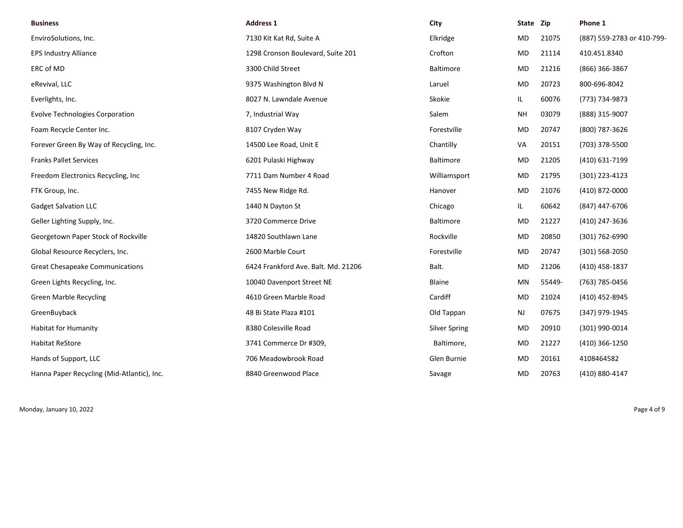| <b>Business</b>                            | <b>Address 1</b>                    | City                 | State Zip |        | Phone 1                    |
|--------------------------------------------|-------------------------------------|----------------------|-----------|--------|----------------------------|
| EnviroSolutions, Inc.                      | 7130 Kit Kat Rd, Suite A            | Elkridge             | MD        | 21075  | (887) 559-2783 or 410-799- |
| <b>EPS Industry Alliance</b>               | 1298 Cronson Boulevard, Suite 201   | Crofton              | <b>MD</b> | 21114  | 410.451.8340               |
| ERC of MD                                  | 3300 Child Street                   | Baltimore            | MD        | 21216  | (866) 366-3867             |
| eRevival, LLC                              | 9375 Washington Blvd N              | Laruel               | MD        | 20723  | 800-696-8042               |
| Everlights, Inc.                           | 8027 N. Lawndale Avenue             | Skokie               | IL.       | 60076  | (773) 734-9873             |
| <b>Evolve Technologies Corporation</b>     | 7, Industrial Way                   | Salem                | <b>NH</b> | 03079  | (888) 315-9007             |
| Foam Recycle Center Inc.                   | 8107 Cryden Way                     | Forestville          | MD        | 20747  | (800) 787-3626             |
| Forever Green By Way of Recycling, Inc.    | 14500 Lee Road, Unit E              | Chantilly            | VA        | 20151  | (703) 378-5500             |
| <b>Franks Pallet Services</b>              | 6201 Pulaski Highway                | <b>Baltimore</b>     | MD        | 21205  | (410) 631-7199             |
| Freedom Electronics Recycling, Inc.        | 7711 Dam Number 4 Road              | Williamsport         | MD        | 21795  | (301) 223-4123             |
| FTK Group, Inc.                            | 7455 New Ridge Rd.                  | Hanover              | MD        | 21076  | (410) 872-0000             |
| <b>Gadget Salvation LLC</b>                | 1440 N Dayton St                    | Chicago              | IL.       | 60642  | (847) 447-6706             |
| Geller Lighting Supply, Inc.               | 3720 Commerce Drive                 | <b>Baltimore</b>     | <b>MD</b> | 21227  | (410) 247-3636             |
| Georgetown Paper Stock of Rockville        | 14820 Southlawn Lane                | Rockville            | <b>MD</b> | 20850  | (301) 762-6990             |
| Global Resource Recyclers, Inc.            | 2600 Marble Court                   | Forestville          | MD        | 20747  | (301) 568-2050             |
| <b>Great Chesapeake Communications</b>     | 6424 Frankford Ave. Balt. Md. 21206 | Balt.                | MD        | 21206  | (410) 458-1837             |
| Green Lights Recycling, Inc.               | 10040 Davenport Street NE           | Blaine               | MN        | 55449- | (763) 785-0456             |
| <b>Green Marble Recycling</b>              | 4610 Green Marble Road              | Cardiff              | MD        | 21024  | (410) 452-8945             |
| GreenBuyback                               | 48 Bi State Plaza #101              | Old Tappan           | <b>NJ</b> | 07675  | (347) 979-1945             |
| <b>Habitat for Humanity</b>                | 8380 Colesville Road                | <b>Silver Spring</b> | MD        | 20910  | (301) 990-0014             |
| <b>Habitat ReStore</b>                     | 3741 Commerce Dr #309,              | Baltimore,           | MD        | 21227  | (410) 366-1250             |
| Hands of Support, LLC                      | 706 Meadowbrook Road                | Glen Burnie          | MD        | 20161  | 4108464582                 |
| Hanna Paper Recycling (Mid-Atlantic), Inc. | 8840 Greenwood Place                | Savage               | <b>MD</b> | 20763  | (410) 880-4147             |

Monday, January 10, 2022 Page 4 of 9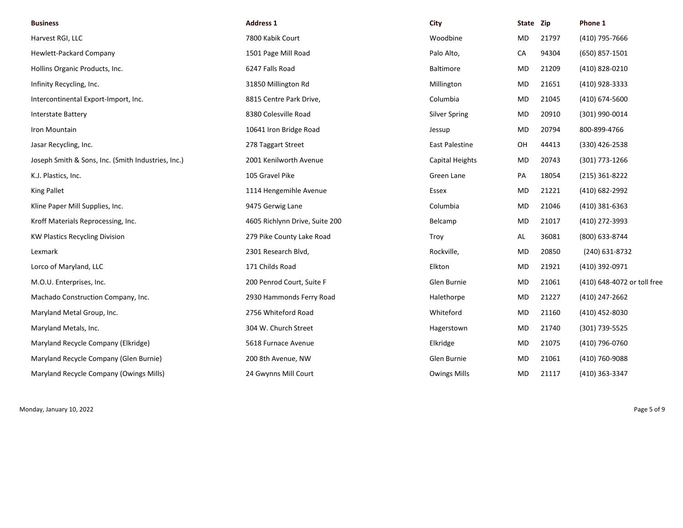| <b>Business</b>                                    | <b>Address 1</b>               | City                  | State Zip |       | Phone 1                     |
|----------------------------------------------------|--------------------------------|-----------------------|-----------|-------|-----------------------------|
| Harvest RGI, LLC                                   | 7800 Kabik Court               | Woodbine              | <b>MD</b> | 21797 | (410) 795-7666              |
| Hewlett-Packard Company                            | 1501 Page Mill Road            | Palo Alto,            | CA        | 94304 | (650) 857-1501              |
| Hollins Organic Products, Inc.                     | 6247 Falls Road                | <b>Baltimore</b>      | MD        | 21209 | (410) 828-0210              |
| Infinity Recycling, Inc.                           | 31850 Millington Rd            | Millington            | <b>MD</b> | 21651 | (410) 928-3333              |
| Intercontinental Export-Import, Inc.               | 8815 Centre Park Drive,        | Columbia              | MD        | 21045 | (410) 674-5600              |
| <b>Interstate Battery</b>                          | 8380 Colesville Road           | <b>Silver Spring</b>  | MD        | 20910 | (301) 990-0014              |
| Iron Mountain                                      | 10641 Iron Bridge Road         | Jessup                | MD        | 20794 | 800-899-4766                |
| Jasar Recycling, Inc.                              | 278 Taggart Street             | <b>East Palestine</b> | OH        | 44413 | (330) 426-2538              |
| Joseph Smith & Sons, Inc. (Smith Industries, Inc.) | 2001 Kenilworth Avenue         | Capital Heights       | <b>MD</b> | 20743 | (301) 773-1266              |
| K.J. Plastics, Inc.                                | 105 Gravel Pike                | Green Lane            | PA        | 18054 | $(215)$ 361-8222            |
| King Pallet                                        | 1114 Hengemihle Avenue         | Essex                 | MD        | 21221 | (410) 682-2992              |
| Kline Paper Mill Supplies, Inc.                    | 9475 Gerwig Lane               | Columbia              | <b>MD</b> | 21046 | (410) 381-6363              |
| Kroff Materials Reprocessing, Inc.                 | 4605 Richlynn Drive, Suite 200 | Belcamp               | <b>MD</b> | 21017 | (410) 272-3993              |
| <b>KW Plastics Recycling Division</b>              | 279 Pike County Lake Road      | Troy                  | AL        | 36081 | (800) 633-8744              |
| Lexmark                                            | 2301 Research Blvd,            | Rockville,            | MD        | 20850 | (240) 631-8732              |
| Lorco of Maryland, LLC                             | 171 Childs Road                | Elkton                | MD        | 21921 | (410) 392-0971              |
| M.O.U. Enterprises, Inc.                           | 200 Penrod Court, Suite F      | Glen Burnie           | <b>MD</b> | 21061 | (410) 648-4072 or toll free |
| Machado Construction Company, Inc.                 | 2930 Hammonds Ferry Road       | Halethorpe            | <b>MD</b> | 21227 | (410) 247-2662              |
| Maryland Metal Group, Inc.                         | 2756 Whiteford Road            | Whiteford             | MD        | 21160 | (410) 452-8030              |
| Maryland Metals, Inc.                              | 304 W. Church Street           | Hagerstown            | MD        | 21740 | (301) 739-5525              |
| Maryland Recycle Company (Elkridge)                | 5618 Furnace Avenue            | Elkridge              | <b>MD</b> | 21075 | (410) 796-0760              |
| Maryland Recycle Company (Glen Burnie)             | 200 8th Avenue, NW             | Glen Burnie           | <b>MD</b> | 21061 | (410) 760-9088              |
| Maryland Recycle Company (Owings Mills)            | 24 Gwynns Mill Court           | <b>Owings Mills</b>   | <b>MD</b> | 21117 | (410) 363-3347              |

Monday, January 10, 2022 Page 5 of 9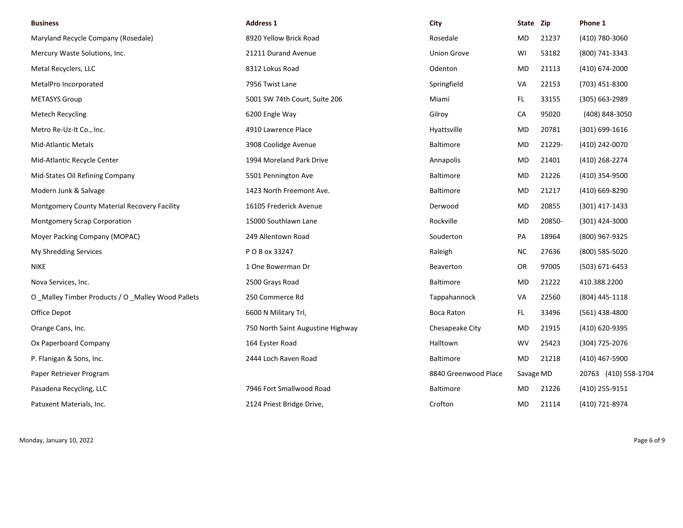| <b>Business</b>                                  | <b>Address 1</b>                  | City                 | State Zip |        | Phone 1              |
|--------------------------------------------------|-----------------------------------|----------------------|-----------|--------|----------------------|
| Maryland Recycle Company (Rosedale)              | 8920 Yellow Brick Road            | Rosedale             | MD        | 21237  | (410) 780-3060       |
| Mercury Waste Solutions, Inc.                    | 21211 Durand Avenue               | <b>Union Grove</b>   | WI        | 53182  | (800) 741-3343       |
| Metal Recyclers, LLC                             | 8312 Lokus Road                   | Odenton              | MD        | 21113  | (410) 674-2000       |
| MetalPro Incorporated                            | 7956 Twist Lane                   | Springfield          | VA        | 22153  | (703) 451-8300       |
| <b>METASYS Group</b>                             | 5001 SW 74th Court, Suite 206     | Miami                | FL.       | 33155  | (305) 663-2989       |
| Metech Recycling                                 | 6200 Engle Way                    | Gilroy               | CA        | 95020  | (408) 848-3050       |
| Metro Re-Uz-It Co., Inc.                         | 4910 Lawrence Place               | Hyattsville          | MD        | 20781  | $(301) 699 - 1616$   |
| Mid-Atlantic Metals                              | 3908 Coolidge Avenue              | <b>Baltimore</b>     | MD        | 21229- | (410) 242-0070       |
| Mid-Atlantic Recycle Center                      | 1994 Moreland Park Drive          | Annapolis            | MD        | 21401  | (410) 268-2274       |
| Mid-States Oil Refining Company                  | 5501 Pennington Ave               | Baltimore            | MD        | 21226  | (410) 354-9500       |
| Modern Junk & Salvage                            | 1423 North Freemont Ave.          | <b>Baltimore</b>     | MD        | 21217  | (410) 669-8290       |
| Montgomery County Material Recovery Facility     | 16105 Frederick Avenue            | Derwood              | MD        | 20855  | (301) 417-1433       |
| Montgomery Scrap Corporation                     | 15000 Southlawn Lane              | Rockville            | MD        | 20850- | (301) 424-3000       |
| Moyer Packing Company (MOPAC)                    | 249 Allentown Road                | Souderton            | PA        | 18964  | (800) 967-9325       |
| My Shredding Services                            | P O B ox 33247                    | Raleigh              | NC.       | 27636  | (800) 585-5020       |
| NIKE                                             | 1 One Bowerman Dr                 | Beaverton            | OR        | 97005  | (503) 671-6453       |
| Nova Services, Inc.                              | 2500 Grays Road                   | Baltimore            | MD        | 21222  | 410.388.2200         |
| O_Malley Timber Products / O_Malley Wood Pallets | 250 Commerce Rd                   | Tappahannock         | VA        | 22560  | (804) 445-1118       |
| Office Depot                                     | 6600 N Military Trl,              | Boca Raton           | FL.       | 33496  | (561) 438-4800       |
| Orange Cans, Inc.                                | 750 North Saint Augustine Highway | Chesapeake City      | <b>MD</b> | 21915  | (410) 620-9395       |
| Ox Paperboard Company                            | 164 Eyster Road                   | Halltown             | <b>WV</b> | 25423  | (304) 725-2076       |
| P. Flanigan & Sons, Inc.                         | 2444 Loch Raven Road              | <b>Baltimore</b>     | MD        | 21218  | (410) 467-5900       |
| Paper Retriever Program                          |                                   | 8840 Greenwood Place | Savage MD |        | 20763 (410) 558-1704 |
| Pasadena Recycling, LLC                          | 7946 Fort Smallwood Road          | Baltimore            | MD        | 21226  | (410) 255-9151       |
| Patuxent Materials, Inc.                         | 2124 Priest Bridge Drive,         | Crofton              | MD        | 21114  | (410) 721-8974       |

Monday, January 10, 2022 Page 6 of 9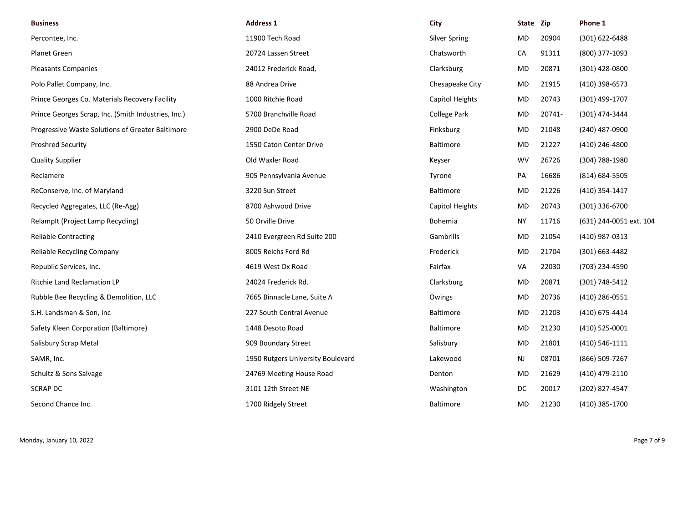| <b>Business</b>                                     | <b>Address 1</b>                  | City                 | State Zip |        | Phone 1                 |
|-----------------------------------------------------|-----------------------------------|----------------------|-----------|--------|-------------------------|
| Percontee, Inc.                                     | 11900 Tech Road                   | <b>Silver Spring</b> | MD        | 20904  | (301) 622-6488          |
| Planet Green                                        | 20724 Lassen Street               | Chatsworth           | CA        | 91311  | (800) 377-1093          |
| <b>Pleasants Companies</b>                          | 24012 Frederick Road,             | Clarksburg           | MD        | 20871  | (301) 428-0800          |
| Polo Pallet Company, Inc.                           | 88 Andrea Drive                   | Chesapeake City      | MD.       | 21915  | (410) 398-6573          |
| Prince Georges Co. Materials Recovery Facility      | 1000 Ritchie Road                 | Capitol Heights      | <b>MD</b> | 20743  | (301) 499-1707          |
| Prince Georges Scrap, Inc. (Smith Industries, Inc.) | 5700 Branchville Road             | <b>College Park</b>  | <b>MD</b> | 20741- | (301) 474-3444          |
| Progressive Waste Solutions of Greater Baltimore    | 2900 DeDe Road                    | Finksburg            | MD.       | 21048  | (240) 487-0900          |
| <b>Proshred Security</b>                            | 1550 Caton Center Drive           | Baltimore            | MD        | 21227  | (410) 246-4800          |
| <b>Quality Supplier</b>                             | Old Waxler Road                   | Keyser               | <b>WV</b> | 26726  | (304) 788-1980          |
| Reclamere                                           | 905 Pennsylvania Avenue           | Tyrone               | PA        | 16686  | (814) 684-5505          |
| ReConserve, Inc. of Maryland                        | 3220 Sun Street                   | Baltimore            | MD        | 21226  | (410) 354-1417          |
| Recycled Aggregates, LLC (Re-Agg)                   | 8700 Ashwood Drive                | Capitol Heights      | MD        | 20743  | (301) 336-6700          |
| RelampIt (Project Lamp Recycling)                   | 50 Orville Drive                  | Bohemia              | <b>NY</b> | 11716  | (631) 244-0051 ext. 104 |
| <b>Reliable Contracting</b>                         | 2410 Evergreen Rd Suite 200       | Gambrills            | MD        | 21054  | (410) 987-0313          |
| <b>Reliable Recycling Company</b>                   | 8005 Reichs Ford Rd               | Frederick            | MD        | 21704  | (301) 663-4482          |
| Republic Services, Inc.                             | 4619 West Ox Road                 | Fairfax              | VA        | 22030  | (703) 234-4590          |
| <b>Ritchie Land Reclamation LP</b>                  | 24024 Frederick Rd.               | Clarksburg           | MD.       | 20871  | (301) 748-5412          |
| Rubble Bee Recycling & Demolition, LLC              | 7665 Binnacle Lane, Suite A       | Owings               | MD        | 20736  | (410) 286-0551          |
| S.H. Landsman & Son, Inc                            | 227 South Central Avenue          | <b>Baltimore</b>     | MD        | 21203  | (410) 675-4414          |
| Safety Kleen Corporation (Baltimore)                | 1448 Desoto Road                  | <b>Baltimore</b>     | MD        | 21230  | (410) 525-0001          |
| Salisbury Scrap Metal                               | 909 Boundary Street               | Salisbury            | MD        | 21801  | (410) 546-1111          |
| SAMR, Inc.                                          | 1950 Rutgers University Boulevard | Lakewood             | <b>NJ</b> | 08701  | (866) 509-7267          |
| Schultz & Sons Salvage                              | 24769 Meeting House Road          | Denton               | MD        | 21629  | (410) 479-2110          |
| <b>SCRAP DC</b>                                     | 3101 12th Street NE               | Washington           | DC        | 20017  | (202) 827-4547          |
| Second Chance Inc.                                  | 1700 Ridgely Street               | <b>Baltimore</b>     | <b>MD</b> | 21230  | (410) 385-1700          |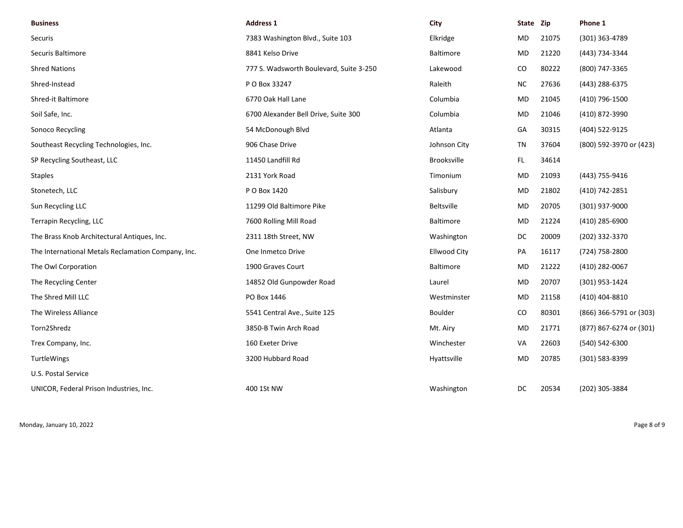| <b>Business</b>                                    | <b>Address 1</b>                        | City                | State Zip |       | Phone 1                 |
|----------------------------------------------------|-----------------------------------------|---------------------|-----------|-------|-------------------------|
| Securis                                            | 7383 Washington Blvd., Suite 103        | Elkridge            | MD        | 21075 | (301) 363-4789          |
| Securis Baltimore                                  | 8841 Kelso Drive                        | Baltimore           | <b>MD</b> | 21220 | (443) 734-3344          |
| <b>Shred Nations</b>                               | 777 S. Wadsworth Boulevard, Suite 3-250 | Lakewood            | CO        | 80222 | (800) 747-3365          |
| Shred-Instead                                      | P O Box 33247                           | Raleith             | <b>NC</b> | 27636 | (443) 288-6375          |
| Shred-it Baltimore                                 | 6770 Oak Hall Lane                      | Columbia            | <b>MD</b> | 21045 | (410) 796-1500          |
| Soil Safe, Inc.                                    | 6700 Alexander Bell Drive, Suite 300    | Columbia            | <b>MD</b> | 21046 | (410) 872-3990          |
| Sonoco Recycling                                   | 54 McDonough Blvd                       | Atlanta             | GA        | 30315 | (404) 522-9125          |
| Southeast Recycling Technologies, Inc.             | 906 Chase Drive                         | Johnson City        | TN        | 37604 | (800) 592-3970 or (423) |
| SP Recycling Southeast, LLC                        | 11450 Landfill Rd                       | Brooksville         | FL        | 34614 |                         |
| <b>Staples</b>                                     | 2131 York Road                          | Timonium            | <b>MD</b> | 21093 | (443) 755-9416          |
| Stonetech, LLC                                     | P O Box 1420                            | Salisbury           | MD        | 21802 | (410) 742-2851          |
| Sun Recycling LLC                                  | 11299 Old Baltimore Pike                | <b>Beltsville</b>   | MD        | 20705 | (301) 937-9000          |
| Terrapin Recycling, LLC                            | 7600 Rolling Mill Road                  | <b>Baltimore</b>    | MD        | 21224 | (410) 285-6900          |
| The Brass Knob Architectural Antiques, Inc.        | 2311 18th Street, NW                    | Washington          | DC        | 20009 | (202) 332-3370          |
| The International Metals Reclamation Company, Inc. | One Inmetco Drive                       | <b>Ellwood City</b> | PA        | 16117 | (724) 758-2800          |
| The Owl Corporation                                | 1900 Graves Court                       | Baltimore           | <b>MD</b> | 21222 | (410) 282-0067          |
| The Recycling Center                               | 14852 Old Gunpowder Road                | Laurel              | MD        | 20707 | (301) 953-1424          |
| The Shred Mill LLC                                 | PO Box 1446                             | Westminster         | <b>MD</b> | 21158 | (410) 404-8810          |
| The Wireless Alliance                              | 5541 Central Ave., Suite 125            | <b>Boulder</b>      | CO        | 80301 | (866) 366-5791 or (303) |
| Torn2Shredz                                        | 3850-B Twin Arch Road                   | Mt. Airy            | <b>MD</b> | 21771 | (877) 867-6274 or (301) |
| Trex Company, Inc.                                 | 160 Exeter Drive                        | Winchester          | VA        | 22603 | (540) 542-6300          |
| TurtleWings                                        | 3200 Hubbard Road                       | Hyattsville         | <b>MD</b> | 20785 | (301) 583-8399          |
| U.S. Postal Service                                |                                         |                     |           |       |                         |
| UNICOR, Federal Prison Industries, Inc.            | 400 1St NW                              | Washington          | DC        | 20534 | (202) 305-3884          |